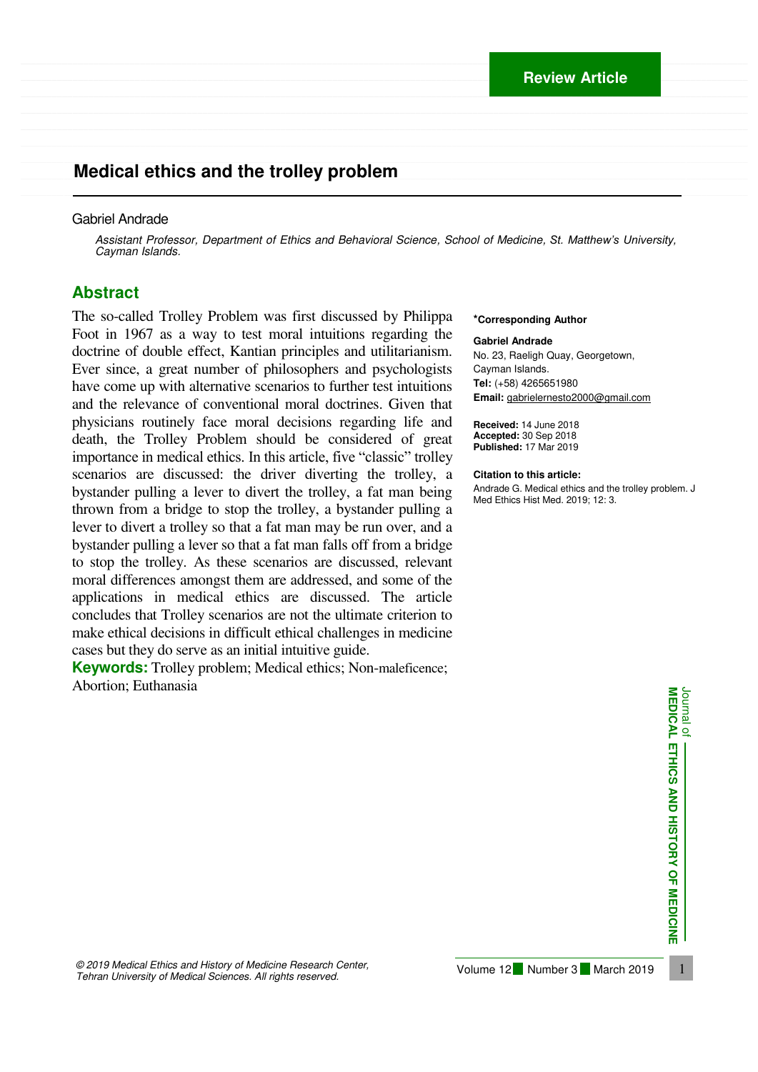## \_\_\_\_\_\_\_\_\_\_\_\_\_\_\_\_\_\_\_\_\_\_\_\_\_\_\_\_\_\_\_\_\_\_\_\_\_\_\_\_\_\_\_\_\_\_\_\_\_\_\_\_\_\_\_\_\_\_\_\_\_\_\_\_\_\_\_\_\_\_\_\_\_\_\_\_\_\_\_\_\_\_\_\_\_\_\_\_\_\_\_\_\_\_\_\_\_\_\_\_\_\_\_\_\_\_\_\_\_\_\_\_\_\_\_\_\_\_\_\_\_\_\_\_\_\_\_\_\_\_\_\_\_\_\_\_\_\_\_\_ **Medical ethics and the trolley problem**

#### Gabriel Andrade

*Assistant Professor, Department of Ethics and Behavioral Science, School of Medicine, St. Matthew's University, Cayman Islands.* 

 $\mathcal{L} = \{ \mathcal{L} = \{ \mathcal{L} = \{ \mathcal{L} = \{ \mathcal{L} = \{ \mathcal{L} = \{ \mathcal{L} = \{ \mathcal{L} = \{ \mathcal{L} = \{ \mathcal{L} = \{ \mathcal{L} = \{ \mathcal{L} = \{ \mathcal{L} = \{ \mathcal{L} = \{ \mathcal{L} = \{ \mathcal{L} = \{ \mathcal{L} = \{ \mathcal{L} = \{ \mathcal{L} = \{ \mathcal{L} = \{ \mathcal{L} = \{ \mathcal{L} = \{ \mathcal{L} = \{ \mathcal{L} = \{ \mathcal{$ 

\_\_\_\_\_\_\_\_\_\_\_\_\_\_\_\_\_\_\_\_\_\_\_\_\_\_\_\_\_\_\_\_\_\_\_\_\_\_\_\_\_\_\_\_\_\_\_\_\_\_\_\_\_\_\_\_\_\_\_\_\_\_\_\_\_\_\_\_\_\_\_\_\_\_\_\_\_\_\_\_\_\_\_\_\_\_\_\_\_\_\_\_\_\_\_\_\_\_\_\_\_\_\_\_\_\_\_\_\_\_\_\_\_\_\_\_\_\_\_\_\_\_\_\_\_\_\_\_\_\_\_\_\_\_\_\_\_\_\_\_

\_\_\_\_\_\_\_\_\_\_\_\_\_\_\_\_\_\_\_\_\_\_\_\_\_\_\_\_\_\_\_\_\_\_\_\_\_\_\_\_\_\_\_\_\_\_\_\_\_\_\_\_\_\_\_\_\_\_\_\_\_\_\_\_\_\_\_\_\_\_\_\_\_\_\_\_\_\_\_\_\_\_\_\_\_\_\_\_\_\_\_\_\_\_\_\_\_\_\_\_\_\_\_\_\_\_\_\_\_\_\_\_\_\_\_\_\_\_\_\_\_\_\_\_\_\_\_\_\_\_\_\_\_\_\_\_\_\_\_\_

### **Abstract**

The so-called Trolley Problem was first discussed by Philippa Foot in 1967 as a way to test moral intuitions regarding the doctrine of double effect, Kantian principles and utilitarianism. Ever since, a great number of philosophers and psychologists have come up with alternative scenarios to further test intuitions and the relevance of conventional moral doctrines. Given that physicians routinely face moral decisions regarding life and death, the Trolley Problem should be considered of great importance in medical ethics. In this article, five "classic" trolley scenarios are discussed: the driver diverting the trolley, a bystander pulling a lever to divert the trolley, a fat man being thrown from a bridge to stop the trolley, a bystander pulling a lever to divert a trolley so that a fat man may be run over, and a bystander pulling a lever so that a fat man falls off from a bridge to stop the trolley. As these scenarios are discussed, relevant moral differences amongst them are addressed, and some of the applications in medical ethics are discussed. The article concludes that Trolley scenarios are not the ultimate criterion to make ethical decisions in difficult ethical challenges in medicine cases but they do serve as an initial intuitive guide.

**Keywords:** Trolley problem; Medical ethics; Non-maleficence; Abortion; Euthanasia

#### **\*Corresponding Author**

**Gabriel Andrade** No. 23, Raeligh Quay, Georgetown, Cayman Islands. **Tel:** (+58) 4265651980 **Email:** gabrielernesto2000@gmail.com

**Received:** 14 June 2018 **Accepted:** 30 Sep 2018 **Published:** 17 Mar 2019

#### **Citation to this article:**

Andrade G. Medical ethics and the trolley problem. J Med Ethics Hist Med. 2019; 12: 3.



 1 *© 2019 Medical Ethics and History of Medicine Research Center, Tehran University of Medical Sciences. All rights reserved.*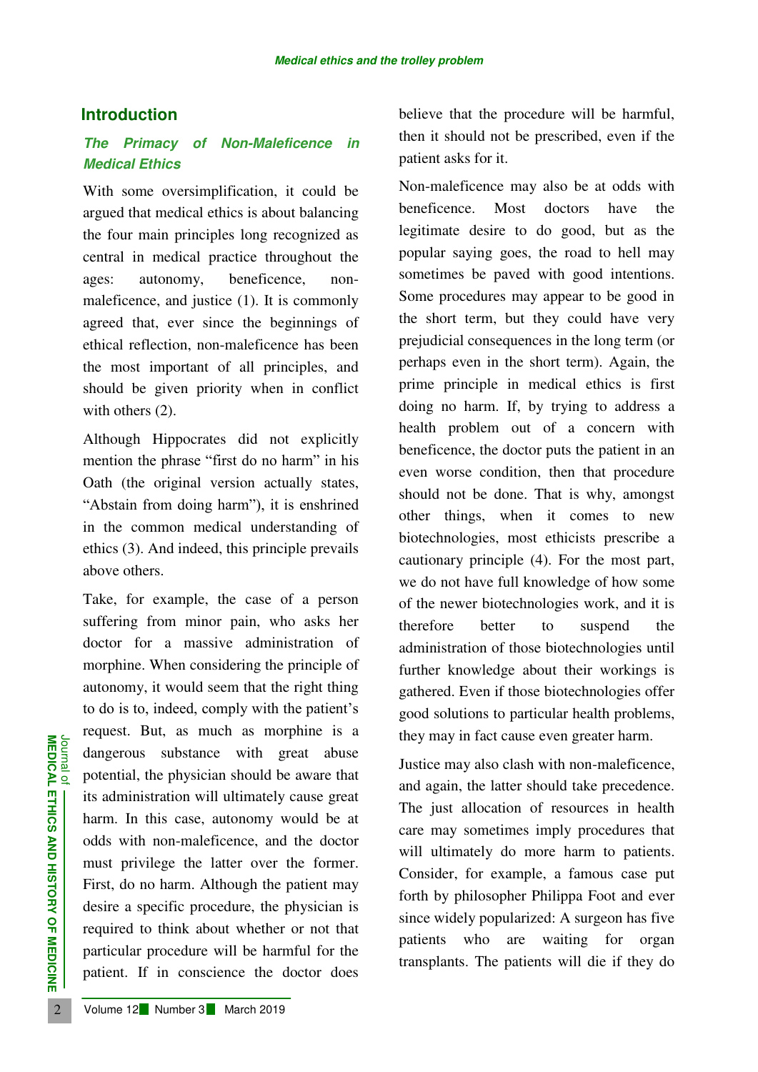## **Introduction**

## *The Primacy of Non-Maleficence in Medical Ethics*

With some oversimplification, it could be argued that medical ethics is about balancing the four main principles long recognized as central in medical practice throughout the ages: autonomy, beneficence, nonmaleficence, and justice (1). It is commonly agreed that, ever since the beginnings of ethical reflection, non-maleficence has been the most important of all principles, and should be given priority when in conflict with others  $(2)$ .

Although Hippocrates did not explicitly mention the phrase "first do no harm" in his Oath (the original version actually states, "Abstain from doing harm"), it is enshrined in the common medical understanding of ethics (3). And indeed, this principle prevails above others.

**EXAMPLE 12 Number 3 March 2019**<br> **EXAMPLE 12 OF MARCH 2019**<br> **EXAMPLE 12 OF MARCH 2019**<br> **EXAMPLE 12 March 2019**<br> **EXAMPLE 12 Number 3 March 2019**<br> **EXAMPLE 12 Number 3 March 2019**<br> **EXAMPLE 12 Number 3 March 2019** Take, for example, the case of a person suffering from minor pain, who asks her doctor for a massive administration of morphine. When considering the principle of autonomy, it would seem that the right thing to do is to, indeed, comply with the patient's request. But, as much as morphine is a dangerous substance with great abuse potential, the physician should be aware that its administration will ultimately cause great harm. In this case, autonomy would be at odds with non-maleficence, and the doctor must privilege the latter over the former. First, do no harm. Although the patient may desire a specific procedure, the physician is required to think about whether or not that particular procedure will be harmful for the patient. If in conscience the doctor does believe that the procedure will be harmful, then it should not be prescribed, even if the patient asks for it.

Non-maleficence may also be at odds with beneficence. Most doctors have the legitimate desire to do good, but as the popular saying goes, the road to hell may sometimes be paved with good intentions. Some procedures may appear to be good in the short term, but they could have very prejudicial consequences in the long term (or perhaps even in the short term). Again, the prime principle in medical ethics is first doing no harm. If, by trying to address a health problem out of a concern with beneficence, the doctor puts the patient in an even worse condition, then that procedure should not be done. That is why, amongst other things, when it comes to new biotechnologies, most ethicists prescribe a cautionary principle (4). For the most part, we do not have full knowledge of how some of the newer biotechnologies work, and it is therefore better to suspend the administration of those biotechnologies until further knowledge about their workings is gathered. Even if those biotechnologies offer good solutions to particular health problems, they may in fact cause even greater harm.

Justice may also clash with non-maleficence, and again, the latter should take precedence. The just allocation of resources in health care may sometimes imply procedures that will ultimately do more harm to patients. Consider, for example, a famous case put forth by philosopher Philippa Foot and ever since widely popularized: A surgeon has five patients who are waiting for organ transplants. The patients will die if they do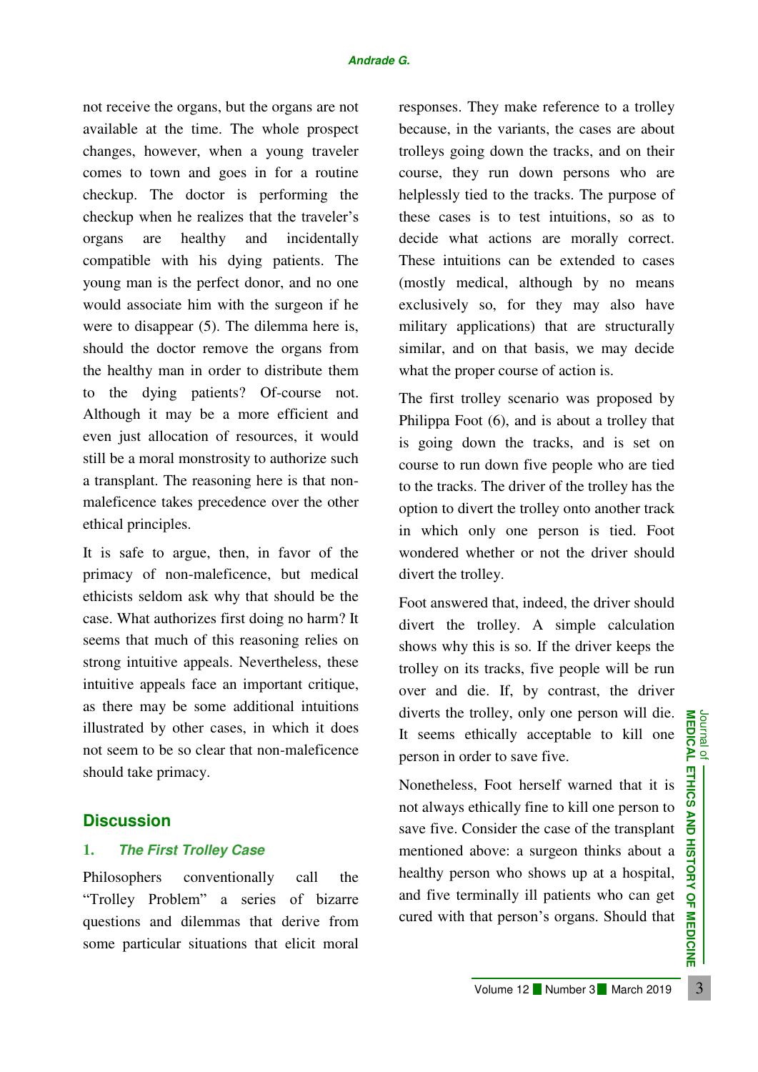not receive the organs, but the organs are not available at the time. The whole prospect changes, however, when a young traveler comes to town and goes in for a routine checkup. The doctor is performing the checkup when he realizes that the traveler's organs are healthy and incidentally compatible with his dying patients. The young man is the perfect donor, and no one would associate him with the surgeon if he were to disappear (5). The dilemma here is, should the doctor remove the organs from the healthy man in order to distribute them to the dying patients? Of-course not. Although it may be a more efficient and even just allocation of resources, it would still be a moral monstrosity to authorize such a transplant. The reasoning here is that nonmaleficence takes precedence over the other ethical principles.

It is safe to argue, then, in favor of the primacy of non-maleficence, but medical ethicists seldom ask why that should be the case. What authorizes first doing no harm? It seems that much of this reasoning relies on strong intuitive appeals. Nevertheless, these intuitive appeals face an important critique, as there may be some additional intuitions illustrated by other cases, in which it does not seem to be so clear that non-maleficence should take primacy.

### **Discussion**

### **1.** *The First Trolley Case*

Philosophers conventionally call the "Trolley Problem" a series of bizarre questions and dilemmas that derive from some particular situations that elicit moral

responses. They make reference to a trolley because, in the variants, the cases are about trolleys going down the tracks, and on their course, they run down persons who are helplessly tied to the tracks. The purpose of these cases is to test intuitions, so as to decide what actions are morally correct. These intuitions can be extended to cases (mostly medical, although by no means exclusively so, for they may also have military applications) that are structurally similar, and on that basis, we may decide what the proper course of action is.

The first trolley scenario was proposed by Philippa Foot (6), and is about a trolley that is going down the tracks, and is set on course to run down five people who are tied to the tracks. The driver of the trolley has the option to divert the trolley onto another track in which only one person is tied. Foot wondered whether or not the driver should divert the trolley.

Foot answered that, indeed, the driver should divert the trolley. A simple calculation shows why this is so. If the driver keeps the trolley on its tracks, five people will be run over and die. If, by contrast, the driver diverts the trolley, only one person will die. It seems ethically acceptable to kill one person in order to save five.

International orientations that elections and dilemmas that election and elections and dilemmas that election and elections and elections that elections that elections are five.<br>
The particular structure in the search of Nonetheless, Foot herself warned that it is not always ethically fine to kill one person to save five. Consider the case of the transplant mentioned above: a surgeon thinks about a healthy person who shows up at a hospital, and five terminally ill patients who can get cured with that person's organs. Should that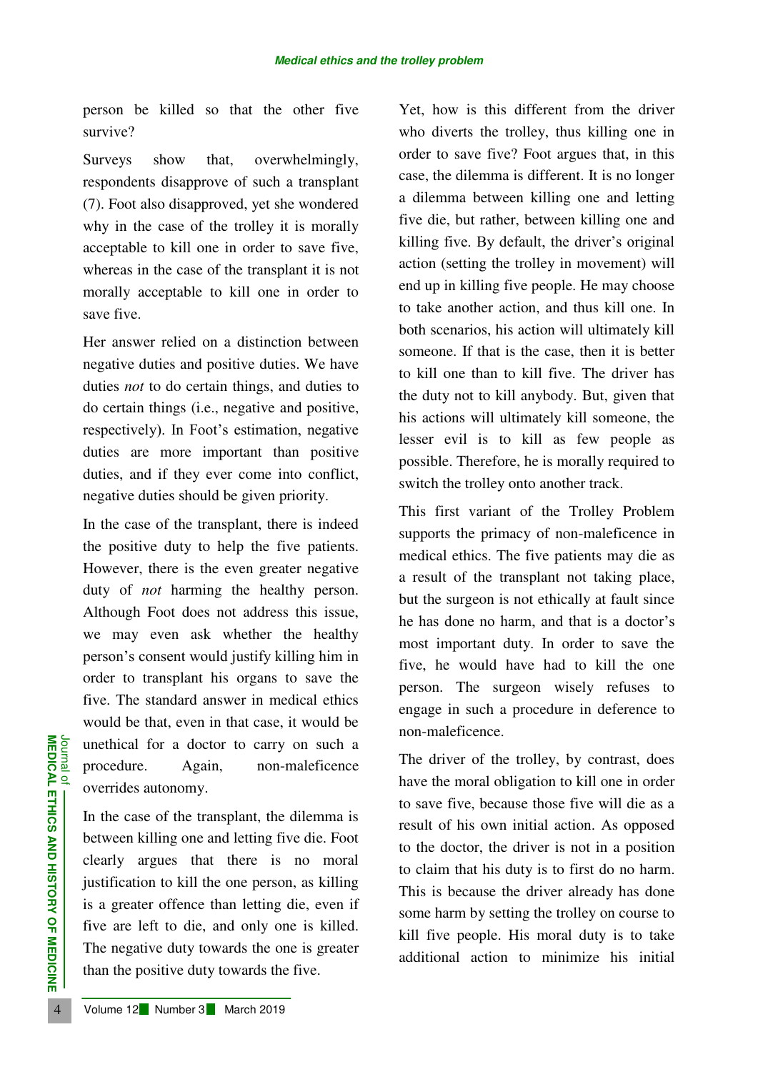person be killed so that the other five survive?

Surveys show that, overwhelmingly, respondents disapprove of such a transplant (7). Foot also disapproved, yet she wondered why in the case of the trolley it is morally acceptable to kill one in order to save five, whereas in the case of the transplant it is not morally acceptable to kill one in order to save five.

Her answer relied on a distinction between negative duties and positive duties. We have duties *not* to do certain things, and duties to do certain things (i.e., negative and positive, respectively). In Foot's estimation, negative duties are more important than positive duties, and if they ever come into conflict, negative duties should be given priority.

In the case of the transplant, there is indeed the positive duty to help the five patients. However, there is the even greater negative duty of *not* harming the healthy person. Although Foot does not address this issue, we may even ask whether the healthy person's consent would justify killing him in order to transplant his organs to save the five. The standard answer in medical ethics would be that, even in that case, it would be unethical for a doctor to carry on such a procedure. Again, non-maleficence overrides autonomy.

**EXAMPLE 12 Number 3 March 2019**<br> **EXAMPLE 12 Number 3**<br> **EXAMPLE 12 Number 3**<br> **EXAMPLE 12 Number 3**<br> **EXAMPLE 12 Number 3**<br> **EXAMPLE 12 Number 3**<br> **EXAMPLE 12 Number 3**<br> **EXAMPLE 12 Number 3**<br> **EXAMPLE 12 Number 3**<br> **EXA** In the case of the transplant, the dilemma is between killing one and letting five die. Foot clearly argues that there is no moral justification to kill the one person, as killing is a greater offence than letting die, even if five are left to die, and only one is killed. The negative duty towards the one is greater than the positive duty towards the five.

Yet, how is this different from the driver who diverts the trolley, thus killing one in order to save five? Foot argues that, in this case, the dilemma is different. It is no longer a dilemma between killing one and letting five die, but rather, between killing one and killing five. By default, the driver's original action (setting the trolley in movement) will end up in killing five people. He may choose to take another action, and thus kill one. In both scenarios, his action will ultimately kill someone. If that is the case, then it is better to kill one than to kill five. The driver has the duty not to kill anybody. But, given that his actions will ultimately kill someone, the lesser evil is to kill as few people as possible. Therefore, he is morally required to switch the trolley onto another track.

This first variant of the Trolley Problem supports the primacy of non-maleficence in medical ethics. The five patients may die as a result of the transplant not taking place, but the surgeon is not ethically at fault since he has done no harm, and that is a doctor's most important duty. In order to save the five, he would have had to kill the one person. The surgeon wisely refuses to engage in such a procedure in deference to non-maleficence.

The driver of the trolley, by contrast, does have the moral obligation to kill one in order to save five, because those five will die as a result of his own initial action. As opposed to the doctor, the driver is not in a position to claim that his duty is to first do no harm. This is because the driver already has done some harm by setting the trolley on course to kill five people. His moral duty is to take additional action to minimize his initial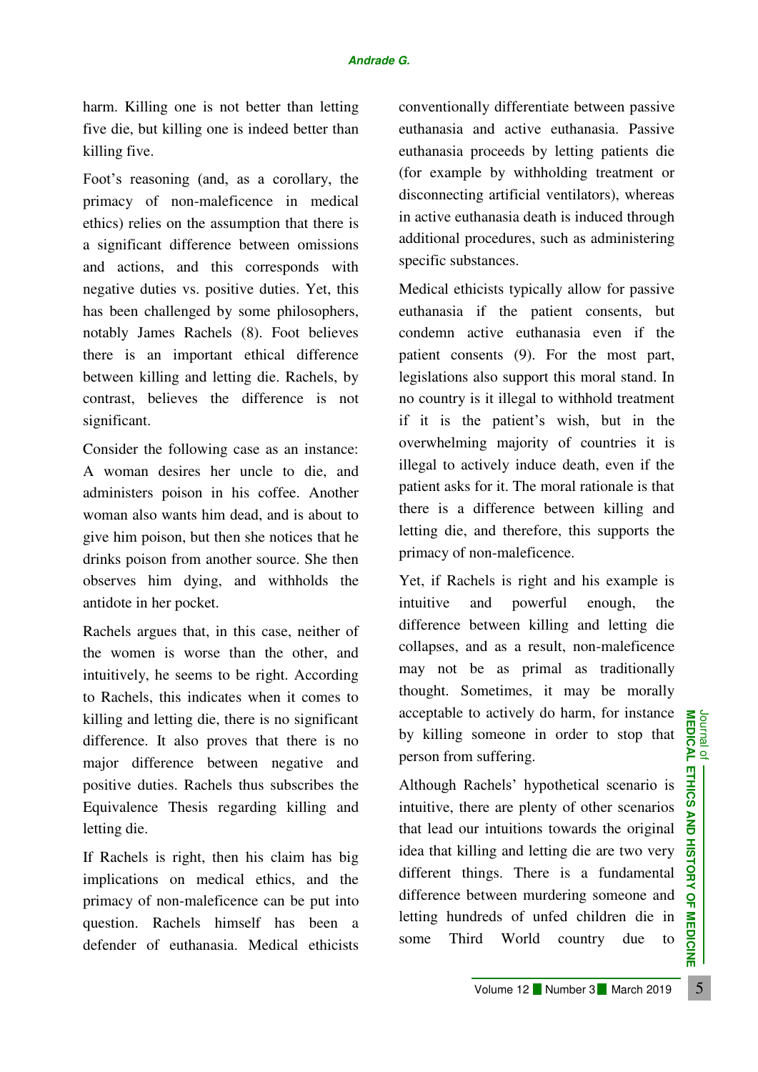harm. Killing one is not better than letting five die, but killing one is indeed better than killing five.

Foot's reasoning (and, as a corollary, the primacy of non-maleficence in medical ethics) relies on the assumption that there is a significant difference between omissions and actions, and this corresponds with negative duties vs. positive duties. Yet, this has been challenged by some philosophers, notably James Rachels (8). Foot believes there is an important ethical difference between killing and letting die. Rachels, by contrast, believes the difference is not significant.

Consider the following case as an instance: A woman desires her uncle to die, and administers poison in his coffee. Another woman also wants him dead, and is about to give him poison, but then she notices that he drinks poison from another source. She then observes him dying, and withholds the antidote in her pocket.

Rachels argues that, in this case, neither of the women is worse than the other, and intuitively, he seems to be right. According to Rachels, this indicates when it comes to killing and letting die, there is no significant difference. It also proves that there is no major difference between negative and positive duties. Rachels thus subscribes the Equivalence Thesis regarding killing and letting die.

If Rachels is right, then his claim has big implications on medical ethics, and the primacy of non-maleficence can be put into question. Rachels himself has been a defender of euthanasia. Medical ethicists conventionally differentiate between passive euthanasia and active euthanasia. Passive euthanasia proceeds by letting patients die (for example by withholding treatment or disconnecting artificial ventilators), whereas in active euthanasia death is induced through additional procedures, such as administering specific substances.

Medical ethicists typically allow for passive euthanasia if the patient consents, but condemn active euthanasia even if the patient consents (9). For the most part, legislations also support this moral stand. In no country is it illegal to withhold treatment if it is the patient's wish, but in the overwhelming majority of countries it is illegal to actively induce death, even if the patient asks for it. The moral rationale is that there is a difference between killing and letting die, and therefore, this supports the primacy of non-maleficence.

Yet, if Rachels is right and his example is intuitive and powerful enough, the difference between killing and letting die collapses, and as a result, non-maleficence may not be as primal as traditionally thought. Sometimes, it may be morally acceptable to actively do harm, for instance by killing someone in order to stop that person from suffering.

Ing and letting die, there is no significant<br>
Ference. It also proves that there is no<br>
ightarreace between negative and<br>
ightarreace between negative and<br>
ightive duties. Rachels thus subscribes the<br>
uivalence Thesis reg Although Rachels' hypothetical scenario is intuitive, there are plenty of other scenarios that lead our intuitions towards the original idea that killing and letting die are two very different things. There is a fundamental difference between murdering someone and letting hundreds of unfed children die in some Third World country due to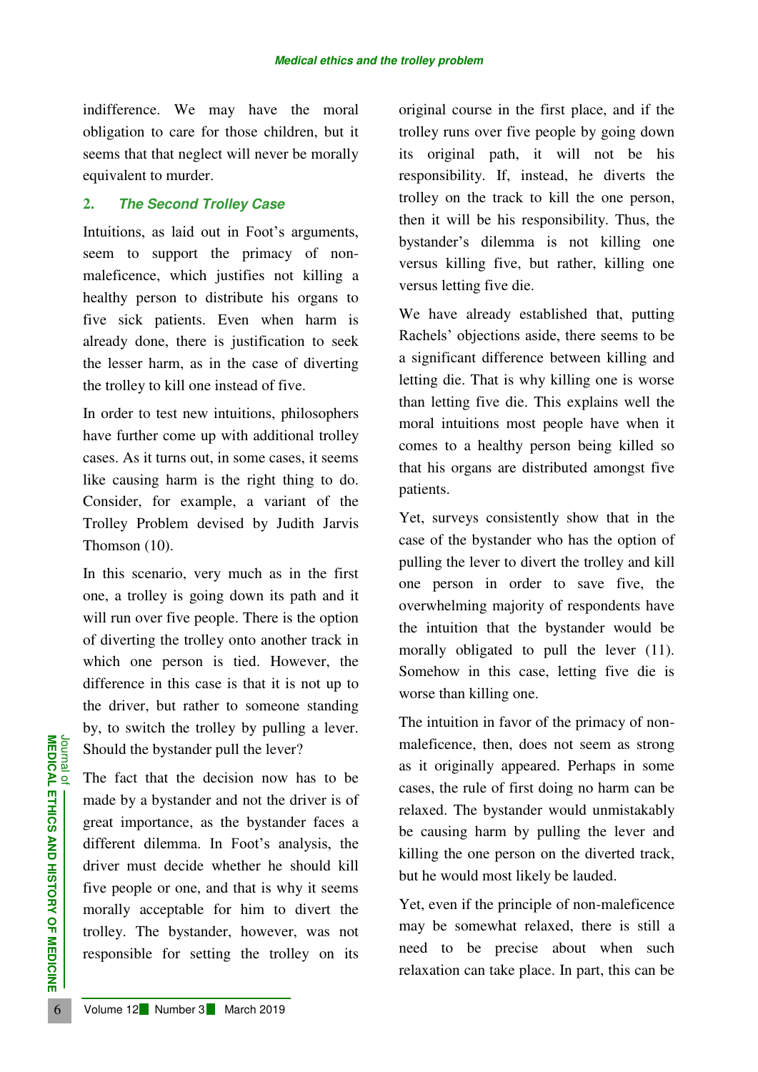indifference. We may have the moral obligation to care for those children, but it seems that that neglect will never be morally equivalent to murder.

### **2.** *The Second Trolley Case*

Intuitions, as laid out in Foot's arguments, seem to support the primacy of nonmaleficence, which justifies not killing a healthy person to distribute his organs to five sick patients. Even when harm is already done, there is justification to seek the lesser harm, as in the case of diverting the trolley to kill one instead of five.

In order to test new intuitions, philosophers have further come up with additional trolley cases. As it turns out, in some cases, it seems like causing harm is the right thing to do. Consider, for example, a variant of the Trolley Problem devised by Judith Jarvis Thomson (10).

In this scenario, very much as in the first one, a trolley is going down its path and it will run over five people. There is the option of diverting the trolley onto another track in which one person is tied. However, the difference in this case is that it is not up to the driver, but rather to someone standing by, to switch the trolley by pulling a lever. Should the bystander pull the lever?

**EXAMPLE 12 Number 3 March 2019**<br> **EXAMPLE 12 The fact that the decision now made by a bystander and not the great importance, as the bystand different dilemma. In Foot's a driver must decide whether he five people or one,** The fact that the decision now has to be made by a bystander and not the driver is of great importance, as the bystander faces a different dilemma. In Foot's analysis, the driver must decide whether he should kill five people or one, and that is why it seems morally acceptable for him to divert the trolley. The bystander, however, was not responsible for setting the trolley on its original course in the first place, and if the trolley runs over five people by going down its original path, it will not be his responsibility. If, instead, he diverts the trolley on the track to kill the one person, then it will be his responsibility. Thus, the bystander's dilemma is not killing one versus killing five, but rather, killing one versus letting five die.

We have already established that, putting Rachels' objections aside, there seems to be a significant difference between killing and letting die. That is why killing one is worse than letting five die. This explains well the moral intuitions most people have when it comes to a healthy person being killed so that his organs are distributed amongst five patients.

Yet, surveys consistently show that in the case of the bystander who has the option of pulling the lever to divert the trolley and kill one person in order to save five, the overwhelming majority of respondents have the intuition that the bystander would be morally obligated to pull the lever (11). Somehow in this case, letting five die is worse than killing one.

The intuition in favor of the primacy of nonmaleficence, then, does not seem as strong as it originally appeared. Perhaps in some cases, the rule of first doing no harm can be relaxed. The bystander would unmistakably be causing harm by pulling the lever and killing the one person on the diverted track, but he would most likely be lauded.

Yet, even if the principle of non-maleficence may be somewhat relaxed, there is still a need to be precise about when such relaxation can take place. In part, this can be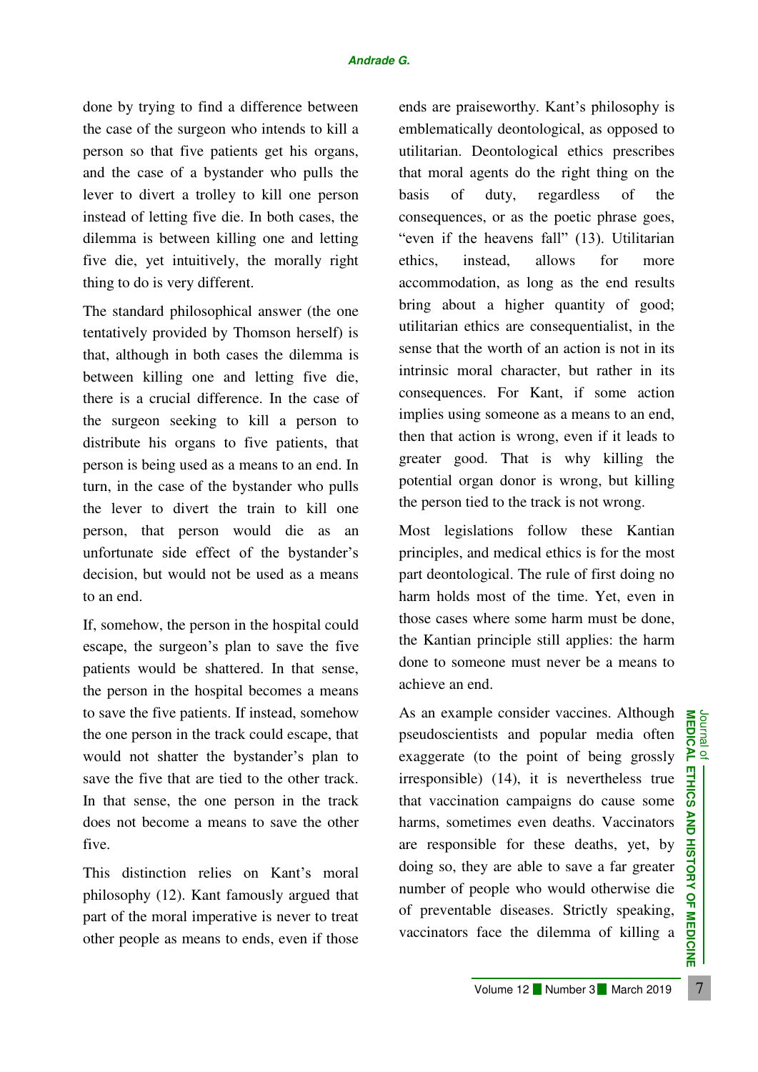done by trying to find a difference between the case of the surgeon who intends to kill a person so that five patients get his organs, and the case of a bystander who pulls the lever to divert a trolley to kill one person instead of letting five die. In both cases, the dilemma is between killing one and letting five die, yet intuitively, the morally right thing to do is very different.

The standard philosophical answer (the one tentatively provided by Thomson herself) is that, although in both cases the dilemma is between killing one and letting five die, there is a crucial difference. In the case of the surgeon seeking to kill a person to distribute his organs to five patients, that person is being used as a means to an end. In turn, in the case of the bystander who pulls the lever to divert the train to kill one person, that person would die as an unfortunate side effect of the bystander's decision, but would not be used as a means to an end.

If, somehow, the person in the hospital could escape, the surgeon's plan to save the five patients would be shattered. In that sense, the person in the hospital becomes a means to save the five patients. If instead, somehow the one person in the track could escape, that would not shatter the bystander's plan to save the five that are tied to the other track. In that sense, the one person in the track does not become a means to save the other five.

This distinction relies on Kant's moral philosophy (12). Kant famously argued that part of the moral imperative is never to treat other people as means to ends, even if those

ends are praiseworthy. Kant's philosophy is emblematically deontological, as opposed to utilitarian. Deontological ethics prescribes that moral agents do the right thing on the basis of duty, regardless of the consequences, or as the poetic phrase goes, "even if the heavens fall" (13). Utilitarian ethics, instead, allows for more accommodation, as long as the end results bring about a higher quantity of good; utilitarian ethics are consequentialist, in the sense that the worth of an action is not in its intrinsic moral character, but rather in its consequences. For Kant, if some action implies using someone as a means to an end, then that action is wrong, even if it leads to greater good. That is why killing the potential organ donor is wrong, but killing the person tied to the track is not wrong.

Most legislations follow these Kantian principles, and medical ethics is for the most part deontological. The rule of first doing no harm holds most of the time. Yet, even in those cases where some harm must be done, the Kantian principle still applies: the harm done to someone must never be a means to achieve an end.

 Volume 12 Number 3 March 2019 <sup>7</sup>**MEDICAL ETHICS AND HISTORY OF MEDICINE** Journal of As an example consider vaccines. Although pseudoscientists and popular media often exaggerate (to the point of being grossly irresponsible) (14), it is nevertheless true that vaccination campaigns do cause some harms, sometimes even deaths. Vaccinators are responsible for these deaths, yet, by doing so, they are able to save a far greater number of people who would otherwise die of preventable diseases. Strictly speaking, vaccinators face the dilemma of killing a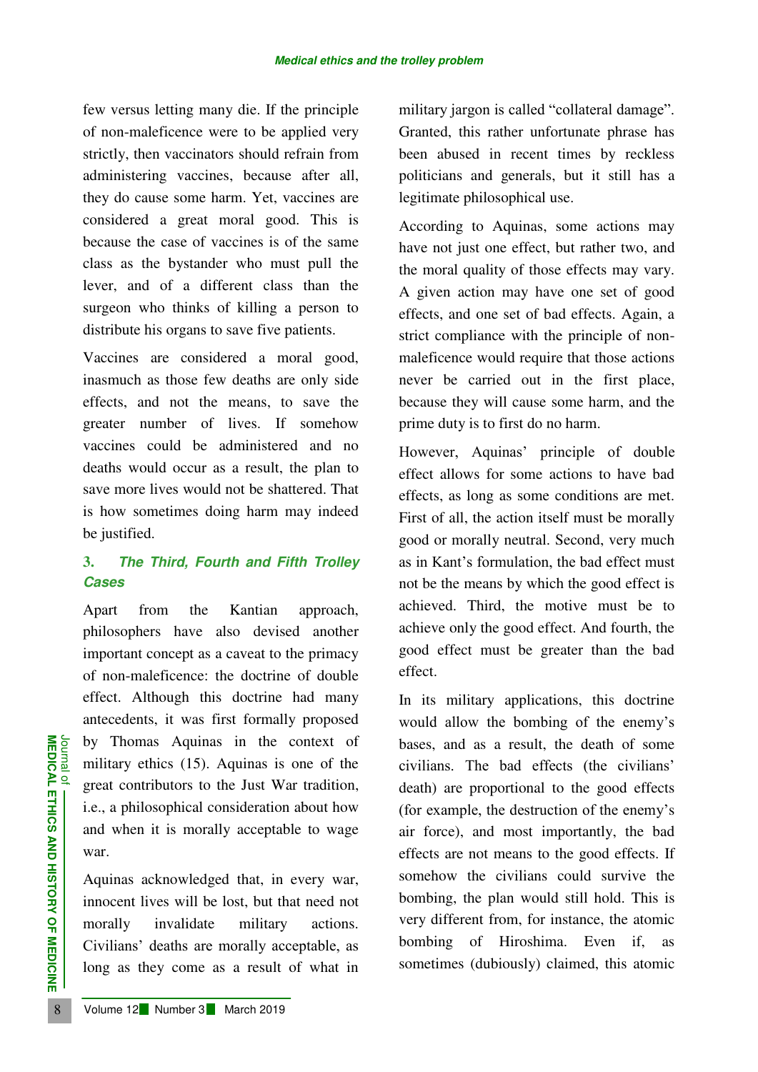few versus letting many die. If the principle of non-maleficence were to be applied very strictly, then vaccinators should refrain from administering vaccines, because after all, they do cause some harm. Yet, vaccines are considered a great moral good. This is because the case of vaccines is of the same class as the bystander who must pull the lever, and of a different class than the surgeon who thinks of killing a person to distribute his organs to save five patients.

Vaccines are considered a moral good, inasmuch as those few deaths are only side effects, and not the means, to save the greater number of lives. If somehow vaccines could be administered and no deaths would occur as a result, the plan to save more lives would not be shattered. That is how sometimes doing harm may indeed be justified.

## **3.** *The Third, Fourth and Fifth Trolley Cases*

**EXAMPLE 12 Number 3 March 2019**<br>
8 **Drawn Column 2** Seperat contributors to the Just W<br>
i.e., a philosophical consideration<br>
and when it is morally acceptal<br>
war.<br>
Aquinas acknowledged that, in<br>
innocent lives will be los Apart from the Kantian approach, philosophers have also devised another important concept as a caveat to the primacy of non-maleficence: the doctrine of double effect. Although this doctrine had many antecedents, it was first formally proposed by Thomas Aquinas in the context of military ethics (15). Aquinas is one of the great contributors to the Just War tradition, i.e., a philosophical consideration about how and when it is morally acceptable to wage war.

Aquinas acknowledged that, in every war, innocent lives will be lost, but that need not morally invalidate military actions. Civilians' deaths are morally acceptable, as long as they come as a result of what in military jargon is called "collateral damage". Granted, this rather unfortunate phrase has been abused in recent times by reckless politicians and generals, but it still has a legitimate philosophical use.

According to Aquinas, some actions may have not just one effect, but rather two, and the moral quality of those effects may vary. A given action may have one set of good effects, and one set of bad effects. Again, a strict compliance with the principle of nonmaleficence would require that those actions never be carried out in the first place, because they will cause some harm, and the prime duty is to first do no harm.

However, Aquinas' principle of double effect allows for some actions to have bad effects, as long as some conditions are met. First of all, the action itself must be morally good or morally neutral. Second, very much as in Kant's formulation, the bad effect must not be the means by which the good effect is achieved. Third, the motive must be to achieve only the good effect. And fourth, the good effect must be greater than the bad effect.

In its military applications, this doctrine would allow the bombing of the enemy's bases, and as a result, the death of some civilians. The bad effects (the civilians' death) are proportional to the good effects (for example, the destruction of the enemy's air force), and most importantly, the bad effects are not means to the good effects. If somehow the civilians could survive the bombing, the plan would still hold. This is very different from, for instance, the atomic bombing of Hiroshima. Even if, as sometimes (dubiously) claimed, this atomic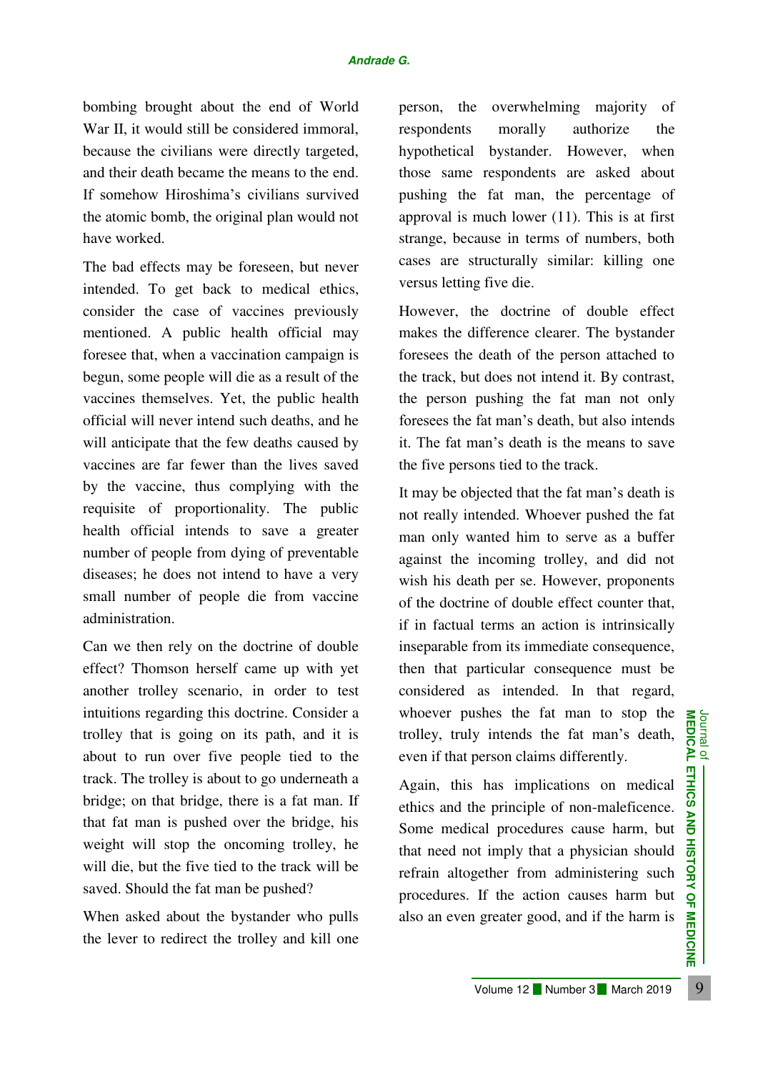bombing brought about the end of World War II, it would still be considered immoral, because the civilians were directly targeted, and their death became the means to the end. If somehow Hiroshima's civilians survived the atomic bomb, the original plan would not have worked.

The bad effects may be foreseen, but never intended. To get back to medical ethics, consider the case of vaccines previously mentioned. A public health official may foresee that, when a vaccination campaign is begun, some people will die as a result of the vaccines themselves. Yet, the public health official will never intend such deaths, and he will anticipate that the few deaths caused by vaccines are far fewer than the lives saved by the vaccine, thus complying with the requisite of proportionality. The public health official intends to save a greater number of people from dying of preventable diseases; he does not intend to have a very small number of people die from vaccine administration.

The muthons regarding this doctrine. Consider a<br>
Hey that is going on its path, and it is<br>
trolley, truly intends the fat man's death,  $\frac{1}{\sqrt{2}}$ <br>
out to run over five people tied to the<br>
even if that person claims diff Can we then rely on the doctrine of double effect? Thomson herself came up with yet another trolley scenario, in order to test intuitions regarding this doctrine. Consider a trolley that is going on its path, and it is about to run over five people tied to the track. The trolley is about to go underneath a bridge; on that bridge, there is a fat man. If that fat man is pushed over the bridge, his weight will stop the oncoming trolley, he will die, but the five tied to the track will be saved. Should the fat man be pushed?

When asked about the bystander who pulls the lever to redirect the trolley and kill one

person, the overwhelming majority of respondents morally authorize the hypothetical bystander. However, when those same respondents are asked about pushing the fat man, the percentage of approval is much lower (11). This is at first strange, because in terms of numbers, both cases are structurally similar: killing one versus letting five die.

However, the doctrine of double effect makes the difference clearer. The bystander foresees the death of the person attached to the track, but does not intend it. By contrast, the person pushing the fat man not only foresees the fat man's death, but also intends it. The fat man's death is the means to save the five persons tied to the track.

It may be objected that the fat man's death is not really intended. Whoever pushed the fat man only wanted him to serve as a buffer against the incoming trolley, and did not wish his death per se. However, proponents of the doctrine of double effect counter that, if in factual terms an action is intrinsically inseparable from its immediate consequence, then that particular consequence must be considered as intended. In that regard, whoever pushes the fat man to stop the trolley, truly intends the fat man's death, even if that person claims differently.

Again, this has implications on medical ethics and the principle of non-maleficence. Some medical procedures cause harm, but that need not imply that a physician should refrain altogether from administering such procedures. If the action causes harm but also an even greater good, and if the harm is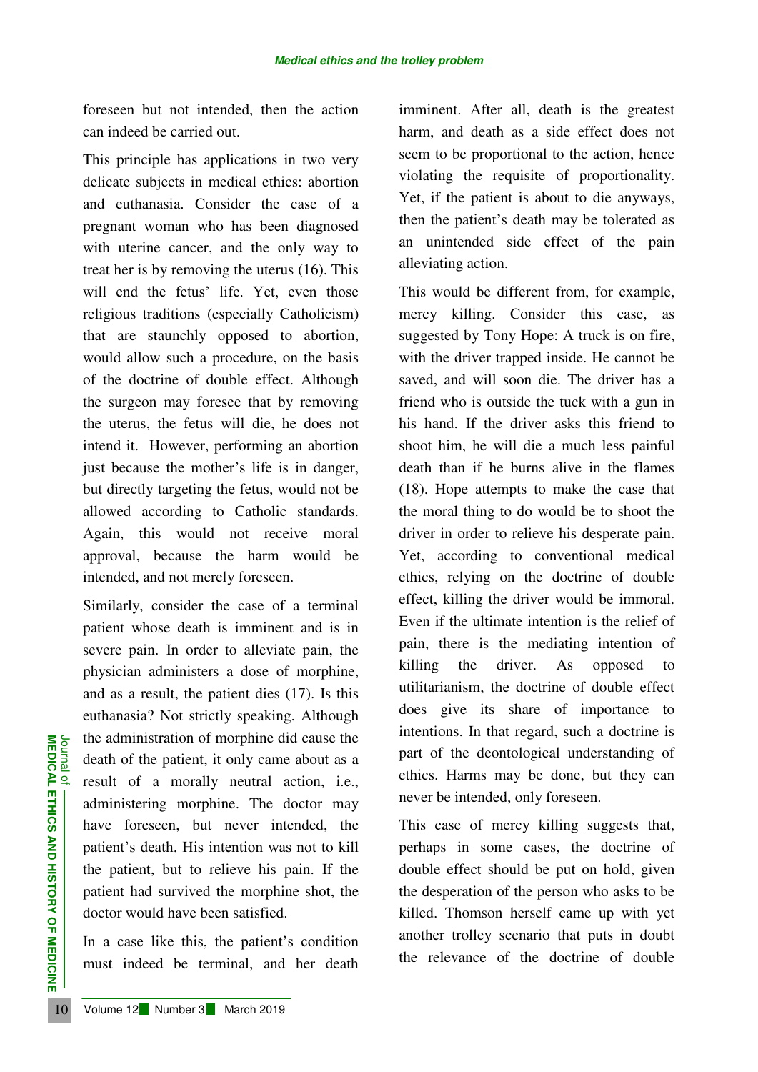foreseen but not intended, then the action can indeed be carried out.

This principle has applications in two very delicate subjects in medical ethics: abortion and euthanasia. Consider the case of a pregnant woman who has been diagnosed with uterine cancer, and the only way to treat her is by removing the uterus (16). This will end the fetus' life. Yet, even those religious traditions (especially Catholicism) that are staunchly opposed to abortion, would allow such a procedure, on the basis of the doctrine of double effect. Although the surgeon may foresee that by removing the uterus, the fetus will die, he does not intend it. However, performing an abortion just because the mother's life is in danger, but directly targeting the fetus, would not be allowed according to Catholic standards. Again, this would not receive moral approval, because the harm would be intended, and not merely foreseen.

The administration of morphine d<br>
death of the patient, it only came<br>
result of a morally neutral<br>
administering morphine. The<br>
have foreseen, but never in<br>
patient's death. His intention wa<br>
the patient, but to relieve hi Similarly, consider the case of a terminal patient whose death is imminent and is in severe pain. In order to alleviate pain, the physician administers a dose of morphine, and as a result, the patient dies (17). Is this euthanasia? Not strictly speaking. Although the administration of morphine did cause the death of the patient, it only came about as a result of a morally neutral action, i.e., administering morphine. The doctor may have foreseen, but never intended, the patient's death. His intention was not to kill the patient, but to relieve his pain. If the patient had survived the morphine shot, the doctor would have been satisfied.

In a case like this, the patient's condition must indeed be terminal, and her death imminent. After all, death is the greatest harm, and death as a side effect does not seem to be proportional to the action, hence violating the requisite of proportionality. Yet, if the patient is about to die anyways, then the patient's death may be tolerated as an unintended side effect of the pain alleviating action.

This would be different from, for example, mercy killing. Consider this case, as suggested by Tony Hope: A truck is on fire, with the driver trapped inside. He cannot be saved, and will soon die. The driver has a friend who is outside the tuck with a gun in his hand. If the driver asks this friend to shoot him, he will die a much less painful death than if he burns alive in the flames (18). Hope attempts to make the case that the moral thing to do would be to shoot the driver in order to relieve his desperate pain. Yet, according to conventional medical ethics, relying on the doctrine of double effect, killing the driver would be immoral. Even if the ultimate intention is the relief of pain, there is the mediating intention of killing the driver. As opposed to utilitarianism, the doctrine of double effect does give its share of importance to intentions. In that regard, such a doctrine is part of the deontological understanding of ethics. Harms may be done, but they can never be intended, only foreseen.

This case of mercy killing suggests that, perhaps in some cases, the doctrine of double effect should be put on hold, given the desperation of the person who asks to be killed. Thomson herself came up with yet another trolley scenario that puts in doubt the relevance of the doctrine of double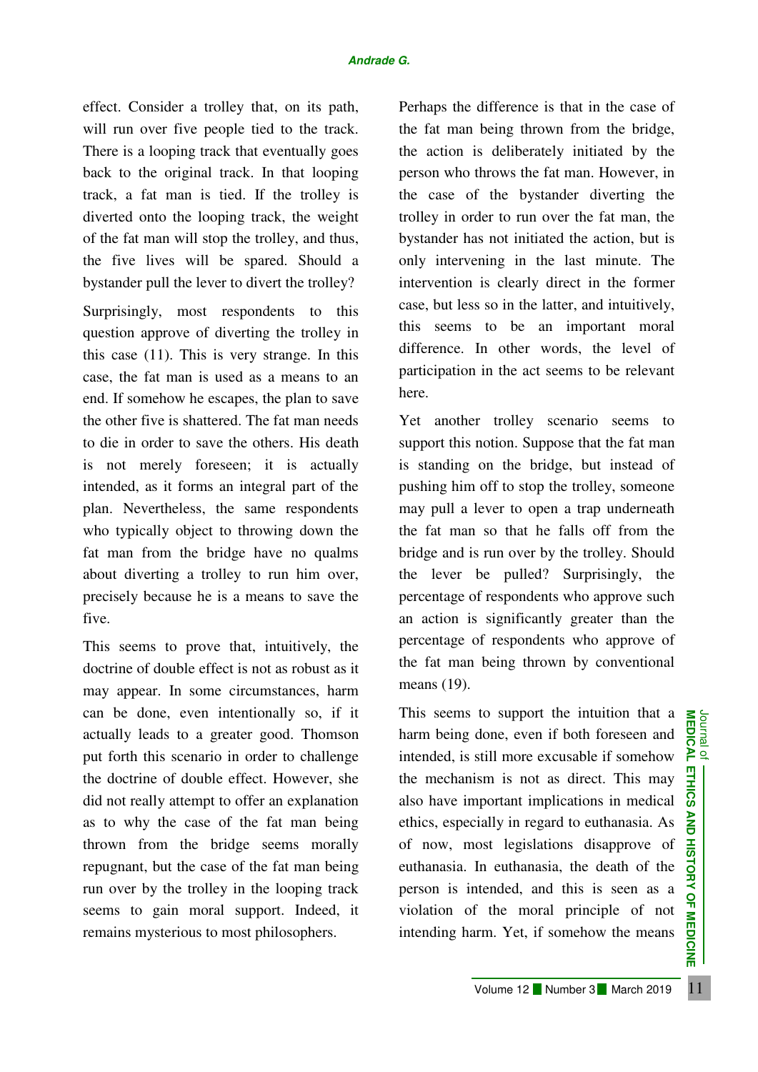effect. Consider a trolley that, on its path, will run over five people tied to the track. There is a looping track that eventually goes back to the original track. In that looping track, a fat man is tied. If the trolley is diverted onto the looping track, the weight of the fat man will stop the trolley, and thus, the five lives will be spared. Should a bystander pull the lever to divert the trolley?

Surprisingly, most respondents to this question approve of diverting the trolley in this case (11). This is very strange. In this case, the fat man is used as a means to an end. If somehow he escapes, the plan to save the other five is shattered. The fat man needs to die in order to save the others. His death is not merely foreseen; it is actually intended, as it forms an integral part of the plan. Nevertheless, the same respondents who typically object to throwing down the fat man from the bridge have no qualms about diverting a trolley to run him over, precisely because he is a means to save the five.

This seems to prove that, intuitively, the doctrine of double effect is not as robust as it may appear. In some circumstances, harm can be done, even intentionally so, if it actually leads to a greater good. Thomson put forth this scenario in order to challenge the doctrine of double effect. However, she did not really attempt to offer an explanation as to why the case of the fat man being thrown from the bridge seems morally repugnant, but the case of the fat man being run over by the trolley in the looping track seems to gain moral support. Indeed, it remains mysterious to most philosophers.

Perhaps the difference is that in the case of the fat man being thrown from the bridge, the action is deliberately initiated by the person who throws the fat man. However, in the case of the bystander diverting the trolley in order to run over the fat man, the bystander has not initiated the action, but is only intervening in the last minute. The intervention is clearly direct in the former case, but less so in the latter, and intuitively, this seems to be an important moral difference. In other words, the level of participation in the act seems to be relevant here.

Yet another trolley scenario seems to support this notion. Suppose that the fat man is standing on the bridge, but instead of pushing him off to stop the trolley, someone may pull a lever to open a trap underneath the fat man so that he falls off from the bridge and is run over by the trolley. Should the lever be pulled? Surprisingly, the percentage of respondents who approve such an action is significantly greater than the percentage of respondents who approve of the fat man being thrown by conventional means (19).

The done, even intentionally so, if it is seems to support the intuition that a<br>stually leads to a greater good. Thomson harm being done, even if both foreseen and  $\frac{1}{10}$ <br>dottrine of double effect. However, she the me This seems to support the intuition that a harm being done, even if both foreseen and intended, is still more excusable if somehow the mechanism is not as direct. This may also have important implications in medical ethics, especially in regard to euthanasia. As of now, most legislations disapprove of euthanasia. In euthanasia, the death of the person is intended, and this is seen as a violation of the moral principle of not intending harm. Yet, if somehow the means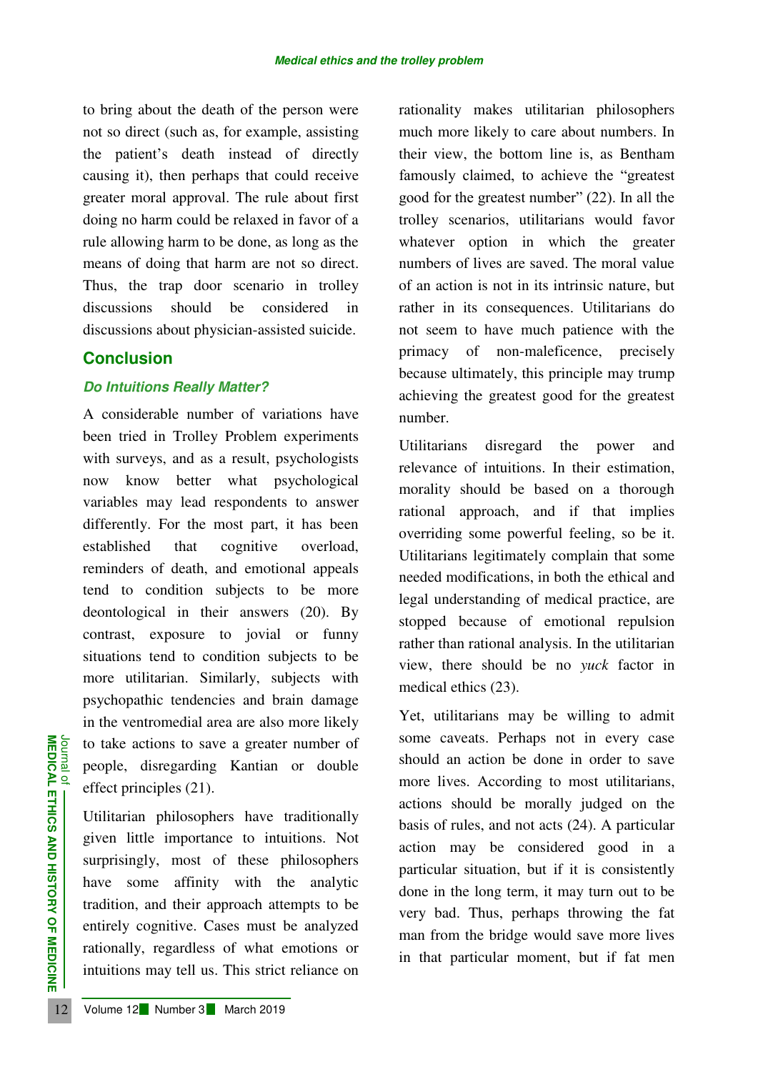to bring about the death of the person were not so direct (such as, for example, assisting the patient's death instead of directly causing it), then perhaps that could receive greater moral approval. The rule about first doing no harm could be relaxed in favor of a rule allowing harm to be done, as long as the means of doing that harm are not so direct. Thus, the trap door scenario in trolley discussions should be considered in discussions about physician-assisted suicide.

## **Conclusion**

### *Do Intuitions Really Matter?*

A considerable number of variations have been tried in Trolley Problem experiments with surveys, and as a result, psychologists now know better what psychological variables may lead respondents to answer differently. For the most part, it has been established that cognitive overload, reminders of death, and emotional appeals tend to condition subjects to be more deontological in their answers (20). By contrast, exposure to jovial or funny situations tend to condition subjects to be more utilitarian. Similarly, subjects with psychopathic tendencies and brain damage in the ventromedial area are also more likely to take actions to save a greater number of people, disregarding Kantian or double effect principles (21).

12 ISLAM CONTROLLED INCORPED THE THE THIRD THE CONTROLLED Utilitarian philosophers have given little importance to intu<br>surprisingly, most of these I have some affinity with the tradition, and their approach att entirely c Utilitarian philosophers have traditionally given little importance to intuitions. Not surprisingly, most of these philosophers have some affinity with the analytic tradition, and their approach attempts to be entirely cognitive. Cases must be analyzed rationally, regardless of what emotions or intuitions may tell us. This strict reliance on

rationality makes utilitarian philosophers much more likely to care about numbers. In their view, the bottom line is, as Bentham famously claimed, to achieve the "greatest good for the greatest number" (22). In all the trolley scenarios, utilitarians would favor whatever option in which the greater numbers of lives are saved. The moral value of an action is not in its intrinsic nature, but rather in its consequences. Utilitarians do not seem to have much patience with the primacy of non-maleficence, precisely because ultimately, this principle may trump achieving the greatest good for the greatest number.

Utilitarians disregard the power and relevance of intuitions. In their estimation, morality should be based on a thorough rational approach, and if that implies overriding some powerful feeling, so be it. Utilitarians legitimately complain that some needed modifications, in both the ethical and legal understanding of medical practice, are stopped because of emotional repulsion rather than rational analysis. In the utilitarian view, there should be no *yuck* factor in medical ethics (23).

Yet, utilitarians may be willing to admit some caveats. Perhaps not in every case should an action be done in order to save more lives. According to most utilitarians, actions should be morally judged on the basis of rules, and not acts (24). A particular action may be considered good in a particular situation, but if it is consistently done in the long term, it may turn out to be very bad. Thus, perhaps throwing the fat man from the bridge would save more lives in that particular moment, but if fat men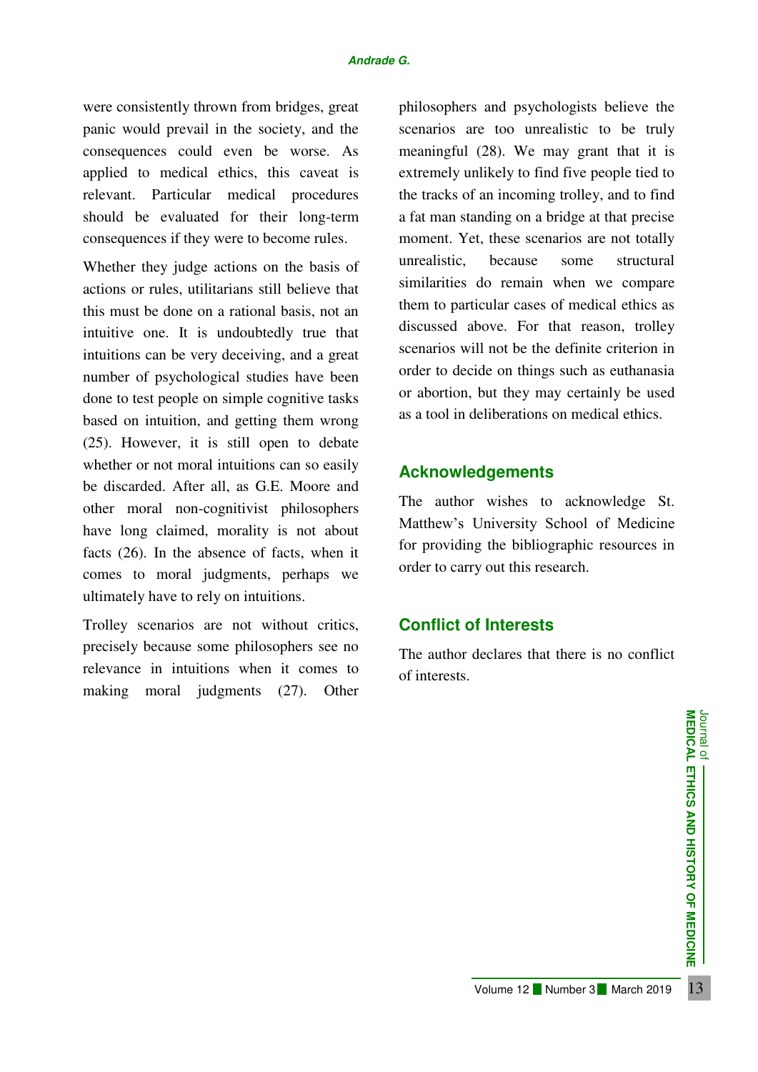were consistently thrown from bridges, great panic would prevail in the society, and the consequences could even be worse. As applied to medical ethics, this caveat is relevant. Particular medical procedures should be evaluated for their long-term consequences if they were to become rules.

Whether they judge actions on the basis of actions or rules, utilitarians still believe that this must be done on a rational basis, not an intuitive one. It is undoubtedly true that intuitions can be very deceiving, and a great number of psychological studies have been done to test people on simple cognitive tasks based on intuition, and getting them wrong (25). However, it is still open to debate whether or not moral intuitions can so easily be discarded. After all, as G.E. Moore and other moral non-cognitivist philosophers have long claimed, morality is not about facts (26). In the absence of facts, when it comes to moral judgments, perhaps we ultimately have to rely on intuitions.

Trolley scenarios are not without critics, precisely because some philosophers see no relevance in intuitions when it comes to making moral judgments (27). Other philosophers and psychologists believe the scenarios are too unrealistic to be truly meaningful (28). We may grant that it is extremely unlikely to find five people tied to the tracks of an incoming trolley, and to find a fat man standing on a bridge at that precise moment. Yet, these scenarios are not totally unrealistic, because some structural similarities do remain when we compare them to particular cases of medical ethics as discussed above. For that reason, trolley scenarios will not be the definite criterion in order to decide on things such as euthanasia or abortion, but they may certainly be used as a tool in deliberations on medical ethics.

# **Acknowledgements**

The author wishes to acknowledge St. Matthew's University School of Medicine for providing the bibliographic resources in order to carry out this research.

# **Conflict of Interests**

The author declares that there is no conflict of interests.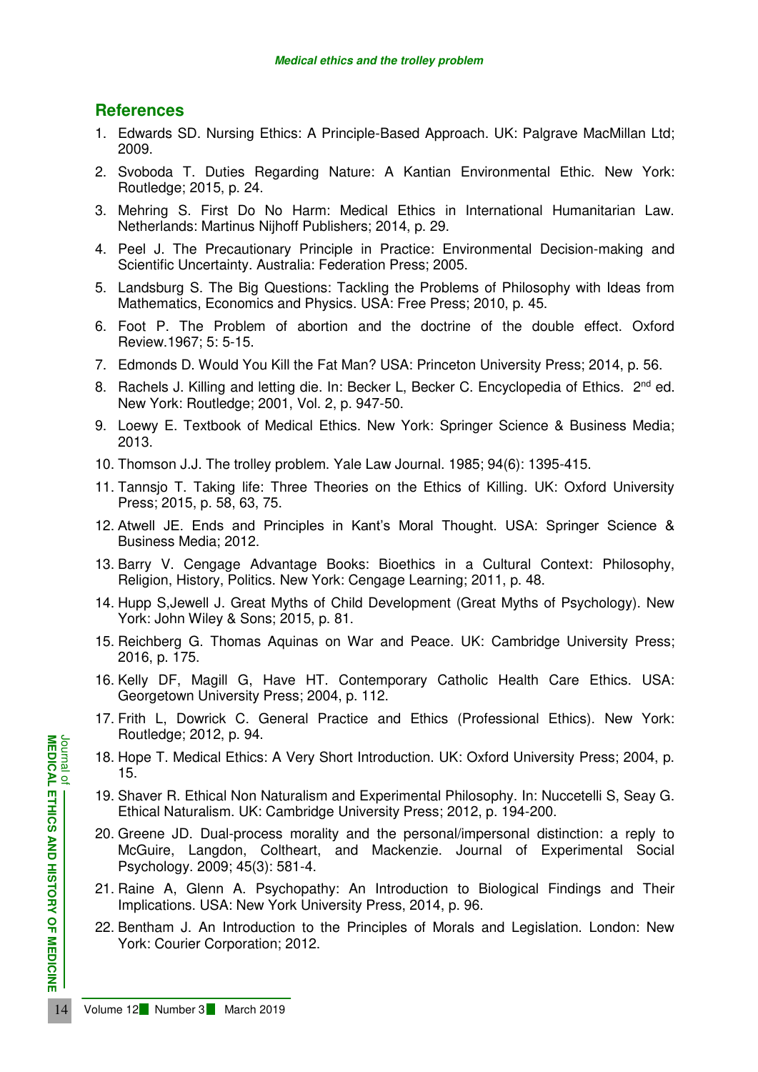## **References**

- 1. Edwards SD. Nursing Ethics: A Principle-Based Approach. UK: Palgrave MacMillan Ltd; 2009.
- 2. Svoboda T. Duties Regarding Nature: A Kantian Environmental Ethic. New York: Routledge; 2015, p. 24.
- 3. Mehring S. First Do No Harm: Medical Ethics in International Humanitarian Law. Netherlands: Martinus Nijhoff Publishers; 2014, p. 29.
- 4. Peel J. The Precautionary Principle in Practice: Environmental Decision-making and Scientific Uncertainty. Australia: Federation Press; 2005.
- 5. Landsburg S. The Big Questions: Tackling the Problems of Philosophy with Ideas from Mathematics, Economics and Physics. USA: Free Press; 2010, p. 45.
- 6. Foot P. The Problem of abortion and the doctrine of the double effect. Oxford Review.1967; 5: 5-15.
- 7. Edmonds D. Would You Kill the Fat Man? USA: Princeton University Press; 2014, p. 56.
- 8. Rachels J. Killing and letting die. In: Becker L, Becker C. Encyclopedia of Ethics. 2<sup>nd</sup> ed. New York: Routledge; 2001, Vol. 2, p. 947-50.
- 9. Loewy E. Textbook of Medical Ethics. New York: Springer Science & Business Media; 2013.
- 10. Thomson J.J. The trolley problem. Yale Law Journal. 1985; 94(6): 1395-415.
- 11. Tannsjo T. Taking life: Three Theories on the Ethics of Killing. UK: Oxford University Press; 2015, p. 58, 63, 75.
- 12. Atwell JE. Ends and Principles in Kant's Moral Thought. USA: Springer Science & Business Media; 2012.
- 13. Barry V. Cengage Advantage Books: Bioethics in a Cultural Context: Philosophy, Religion, History, Politics. New York: Cengage Learning; 2011, p. 48.
- 14. Hupp S,Jewell J. Great Myths of Child Development (Great Myths of Psychology). New York: John Wiley & Sons; 2015, p. 81.
- 15. Reichberg G. Thomas Aquinas on War and Peace. UK: Cambridge University Press; 2016, p. 175.
- 16. Kelly DF, Magill G, Have HT. Contemporary Catholic Health Care Ethics. USA: Georgetown University Press; 2004, p. 112.
- 17. Frith L, Dowrick C. General Practice and Ethics (Professional Ethics). New York: Routledge; 2012, p. 94.
- 18. Hope T. Medical Ethics: A Very Short Introduction. UK: Oxford University Press; 2004, p. 15.
- 19. Shaver R. Ethical Non Naturalism and Experimental Philosophy. In: Nuccetelli S, Seay G. Ethical Naturalism. UK: Cambridge University Press; 2012, p. 194-200.
- **EXAMPLE 12 INCREDICAL PROFILM 12 Number 3 March 2019**<br> **14** Volume 12 Number 3 March 2019<br> **14** Volume 12 Number 3 March 2019<br> **14** Volume 12 Number 3 March 2019<br> **14** Volume 12 Number 3 March 2019 20. Greene JD. Dual-process morality and the personal/impersonal distinction: a reply to McGuire, Langdon, Coltheart, and Mackenzie. Journal of Experimental Social Psychology. 2009; 45(3): 581-4.
	- 21. Raine A, Glenn A. Psychopathy: An Introduction to Biological Findings and Their Implications. USA: New York University Press, 2014, p. 96.
	- 22. Bentham J. An Introduction to the Principles of Morals and Legislation. London: New York: Courier Corporation; 2012.